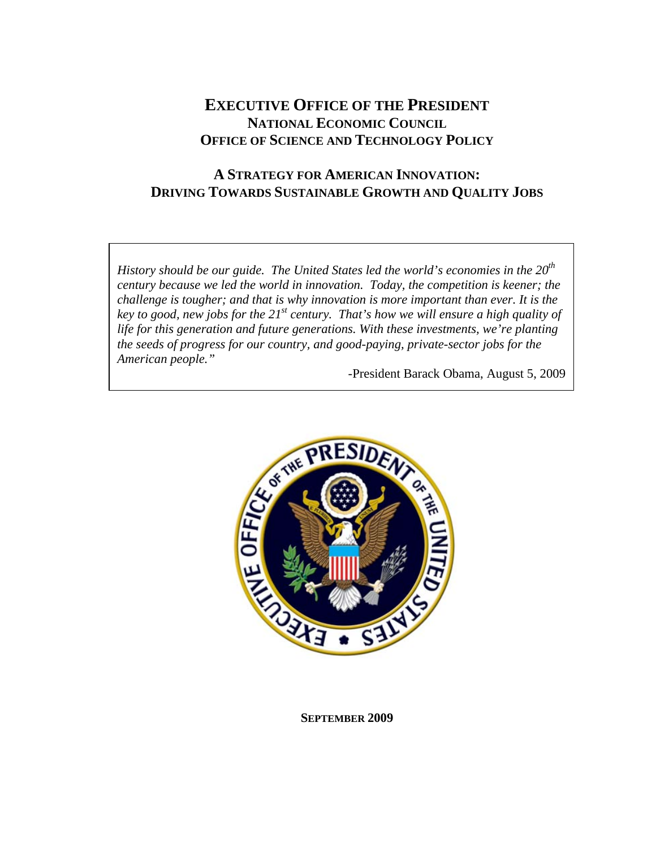# **EXECUTIVE OFFICE OF THE PRESIDENT NATIONAL ECONOMIC COUNCIL OFFICE OF SCIENCE AND TECHNOLOGY POLICY**

## **A STRATEGY FOR AMERICAN INNOVATION: DRIVING TOWARDS SUSTAINABLE GROWTH AND QUALITY JOBS**

*History should be our guide. The United States led the world's economies in the 20<sup>th</sup> century because we led the world in innovation. Today, the competition is keener; the challenge is tougher; and that is why innovation is more important than ever. It is the key to good, new jobs for the 21st century. That's how we will ensure a high quality of life for this generation and future generations. With these investments, we're planting the seeds of progress for our country, and good-paying, private-sector jobs for the American people."* 

-President Barack Obama, August 5, 2009



**SEPTEMBER 2009**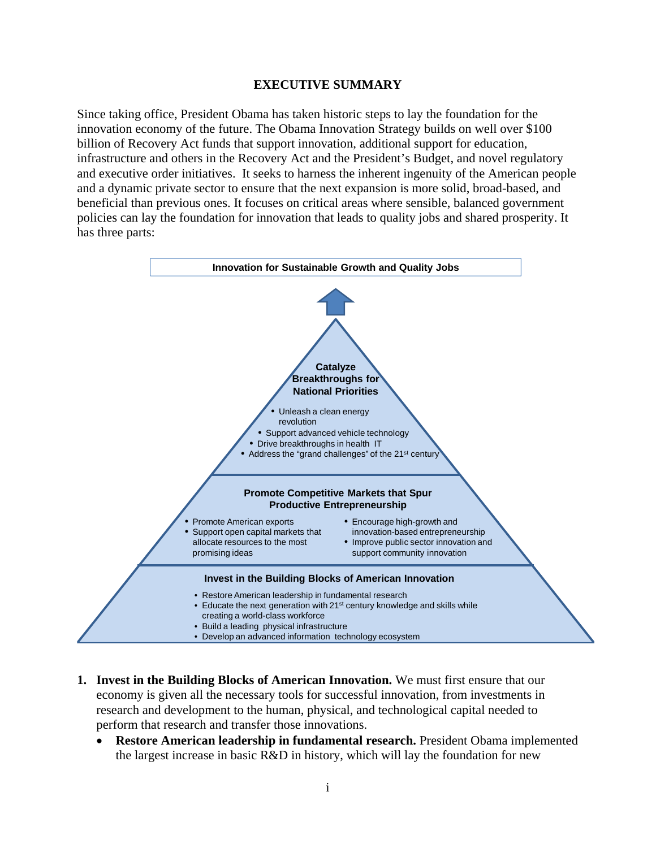#### **EXECUTIVE SUMMARY**

Since taking office, President Obama has taken historic steps to lay the foundation for the innovation economy of the future. The Obama Innovation Strategy builds on well over \$100 billion of Recovery Act funds that support innovation, additional support for education, infrastructure and others in the Recovery Act and the President's Budget, and novel regulatory and executive order initiatives. It seeks to harness the inherent ingenuity of the American people and a dynamic private sector to ensure that the next expansion is more solid, broad-based, and beneficial than previous ones. It focuses on critical areas where sensible, balanced government policies can lay the foundation for innovation that leads to quality jobs and shared prosperity. It has three parts:



- **1.** Invest in the Building Blocks of American Innovation. We must first ensure that our economy is given all the necessary tools for successful innovation, from investments in research and development to the human, physical, and technological capital needed to perform that research and transfer those innovations.
	- **Restore American leadership in fundamental research.** President Obama implemented the largest increase in basic R&D in history, which will lay the foundation for new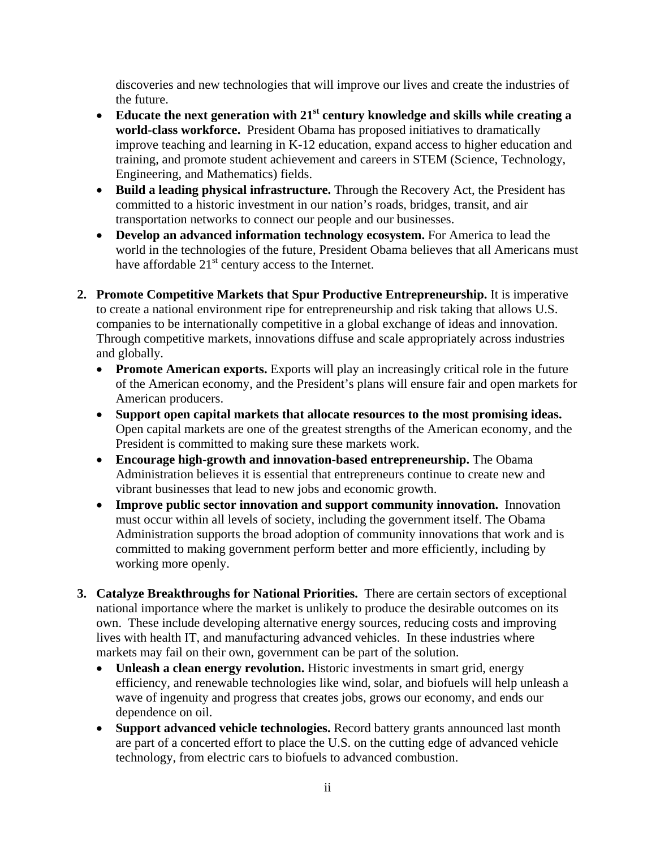discoveries and new technologies that will improve our lives and create the industries of the future.

- Educate the next generation with 21<sup>st</sup> century knowledge and skills while creating a **world-class workforce.** President Obama has proposed initiatives to dramatically improve teaching and learning in K-12 education, expand access to higher education and training, and promote student achievement and careers in STEM (Science, Technology, Engineering, and Mathematics) fields.
- **Build a leading physical infrastructure.** Through the Recovery Act, the President has committed to a historic investment in our nation's roads, bridges, transit, and air transportation networks to connect our people and our businesses.
- **Develop an advanced information technology ecosystem.** For America to lead the world in the technologies of the future, President Obama believes that all Americans must have affordable  $21<sup>st</sup>$  century access to the Internet.
- **2. Promote Competitive Markets that Spur Productive Entrepreneurship.** It is imperative to create a national environment ripe for entrepreneurship and risk taking that allows U.S. companies to be internationally competitive in a global exchange of ideas and innovation. Through competitive markets, innovations diffuse and scale appropriately across industries and globally.
	- Promote American exports. Exports will play an increasingly critical role in the future of the American economy, and the President's plans will ensure fair and open markets for American producers.
	- **Support open capital markets that allocate resources to the most promising ideas.**  Open capital markets are one of the greatest strengths of the American economy, and the President is committed to making sure these markets work.
	- **Encourage high-growth and innovation-based entrepreneurship.** The Obama Administration believes it is essential that entrepreneurs continue to create new and vibrant businesses that lead to new jobs and economic growth.
	- **Improve public sector innovation and support community innovation.** Innovation must occur within all levels of society, including the government itself. The Obama Administration supports the broad adoption of community innovations that work and is committed to making government perform better and more efficiently, including by working more openly.
- **3. Catalyze Breakthroughs for National Priorities.** There are certain sectors of exceptional national importance where the market is unlikely to produce the desirable outcomes on its own. These include developing alternative energy sources, reducing costs and improving lives with health IT, and manufacturing advanced vehicles. In these industries where markets may fail on their own, government can be part of the solution.
	- **Unleash a clean energy revolution.** Historic investments in smart grid, energy efficiency, and renewable technologies like wind, solar, and biofuels will help unleash a wave of ingenuity and progress that creates jobs, grows our economy, and ends our dependence on oil.
	- **Support advanced vehicle technologies.** Record battery grants announced last month are part of a concerted effort to place the U.S. on the cutting edge of advanced vehicle technology, from electric cars to biofuels to advanced combustion.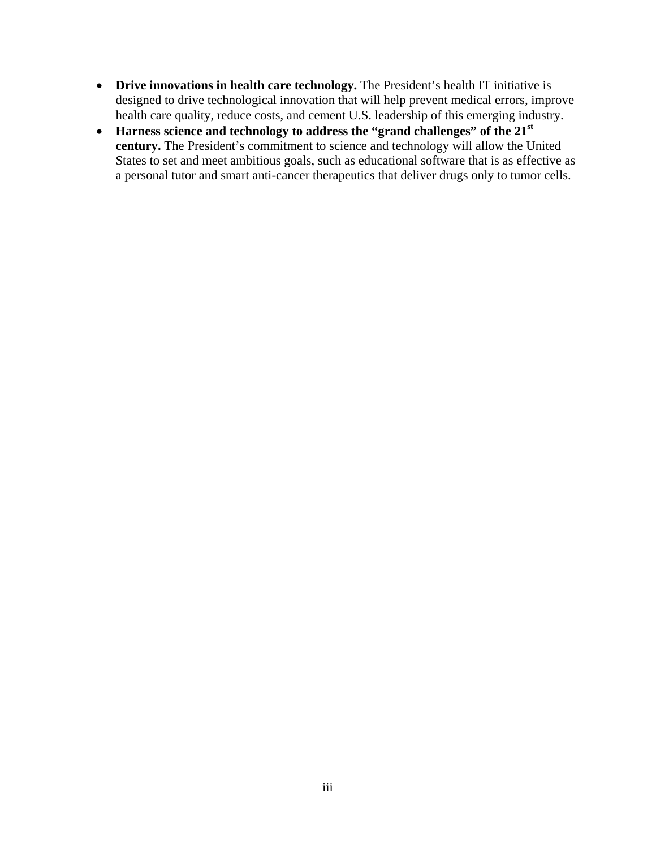- Drive innovations in health care technology. The President's health IT initiative is designed to drive technological innovation that will help prevent medical errors, improve health care quality, reduce costs, and cement U.S. leadership of this emerging industry.
- Harness science and technology to address the "grand challenges" of the 21<sup>st</sup> **century.** The President's commitment to science and technology will allow the United States to set and meet ambitious goals, such as educational software that is as effective as a personal tutor and smart anti-cancer therapeutics that deliver drugs only to tumor cells.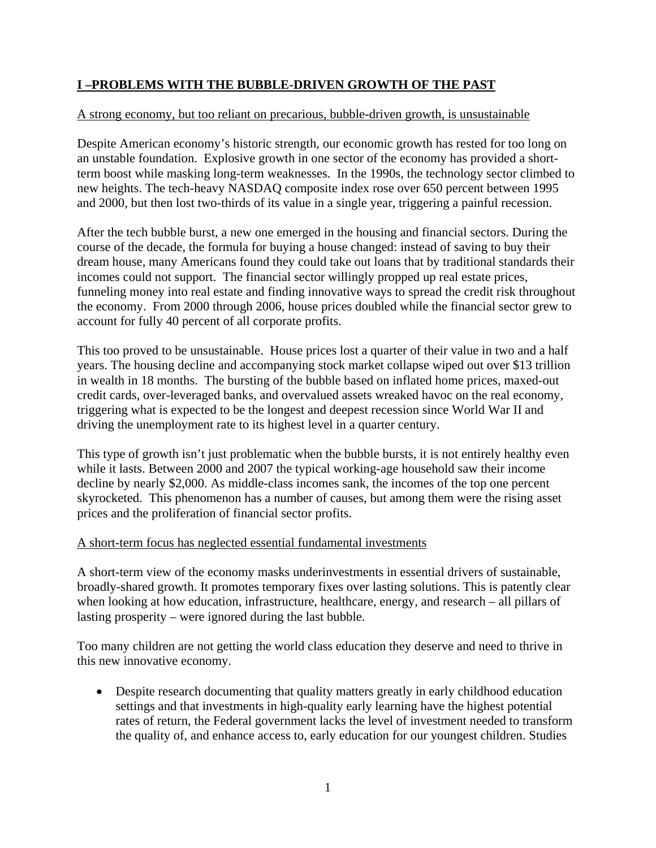## **I –PROBLEMS WITH THE BUBBLE-DRIVEN GROWTH OF THE PAST**

### A strong economy, but too reliant on precarious, bubble-driven growth, is unsustainable

Despite American economy's historic strength, our economic growth has rested for too long on an unstable foundation. Explosive growth in one sector of the economy has provided a shortterm boost while masking long-term weaknesses. In the 1990s, the technology sector climbed to new heights. The tech-heavy NASDAQ composite index rose over 650 percent between 1995 and 2000, but then lost two-thirds of its value in a single year, triggering a painful recession.

After the tech bubble burst, a new one emerged in the housing and financial sectors. During the course of the decade, the formula for buying a house changed: instead of saving to buy their dream house, many Americans found they could take out loans that by traditional standards their incomes could not support. The financial sector willingly propped up real estate prices, funneling money into real estate and finding innovative ways to spread the credit risk throughout the economy. From 2000 through 2006, house prices doubled while the financial sector grew to account for fully 40 percent of all corporate profits.

This too proved to be unsustainable. House prices lost a quarter of their value in two and a half years. The housing decline and accompanying stock market collapse wiped out over \$13 trillion in wealth in 18 months. The bursting of the bubble based on inflated home prices, maxed-out credit cards, over-leveraged banks, and overvalued assets wreaked havoc on the real economy, triggering what is expected to be the longest and deepest recession since World War II and driving the unemployment rate to its highest level in a quarter century.

This type of growth isn't just problematic when the bubble bursts, it is not entirely healthy even while it lasts. Between 2000 and 2007 the typical working-age household saw their income decline by nearly \$2,000. As middle-class incomes sank, the incomes of the top one percent skyrocketed. This phenomenon has a number of causes, but among them were the rising asset prices and the proliferation of financial sector profits.

#### A short-term focus has neglected essential fundamental investments

A short-term view of the economy masks underinvestments in essential drivers of sustainable, broadly-shared growth. It promotes temporary fixes over lasting solutions. This is patently clear when looking at how education, infrastructure, healthcare, energy, and research – all pillars of lasting prosperity – were ignored during the last bubble.

Too many children are not getting the world class education they deserve and need to thrive in this new innovative economy.

• Despite research documenting that quality matters greatly in early childhood education settings and that investments in high-quality early learning have the highest potential rates of return, the Federal government lacks the level of investment needed to transform the quality of, and enhance access to, early education for our youngest children. Studies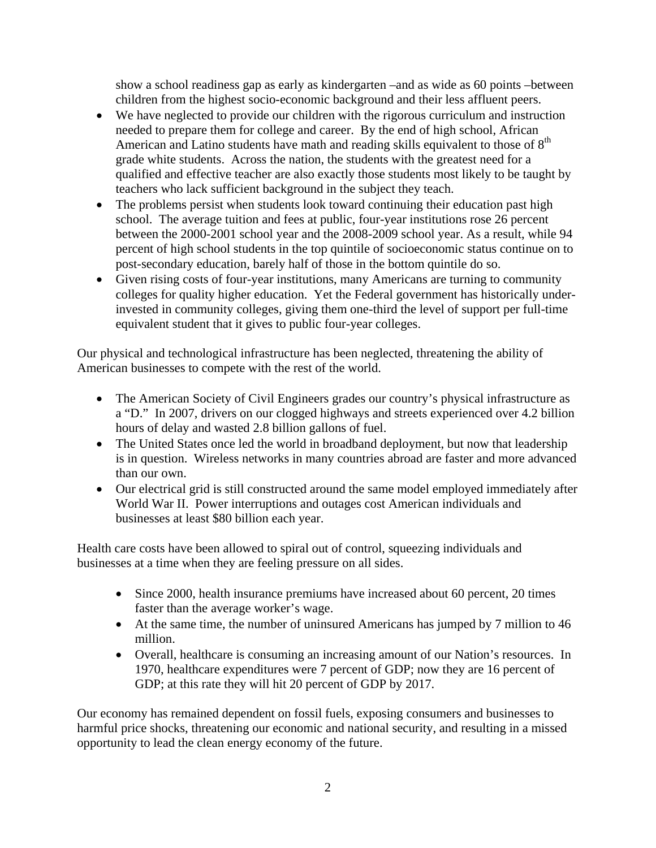show a school readiness gap as early as kindergarten –and as wide as 60 points –between children from the highest socio-economic background and their less affluent peers.

- We have neglected to provide our children with the rigorous curriculum and instruction needed to prepare them for college and career. By the end of high school, African American and Latino students have math and reading skills equivalent to those of  $8<sup>th</sup>$ grade white students. Across the nation, the students with the greatest need for a qualified and effective teacher are also exactly those students most likely to be taught by teachers who lack sufficient background in the subject they teach.
- The problems persist when students look toward continuing their education past high school. The average tuition and fees at public, four-year institutions rose 26 percent between the 2000-2001 school year and the 2008-2009 school year. As a result, while 94 percent of high school students in the top quintile of socioeconomic status continue on to post-secondary education, barely half of those in the bottom quintile do so.
- Given rising costs of four-year institutions, many Americans are turning to community colleges for quality higher education. Yet the Federal government has historically underinvested in community colleges, giving them one-third the level of support per full-time equivalent student that it gives to public four-year colleges.

Our physical and technological infrastructure has been neglected, threatening the ability of American businesses to compete with the rest of the world.

- The American Society of Civil Engineers grades our country's physical infrastructure as a "D." In 2007, drivers on our clogged highways and streets experienced over 4.2 billion hours of delay and wasted 2.8 billion gallons of fuel.
- The United States once led the world in broadband deployment, but now that leadership is in question. Wireless networks in many countries abroad are faster and more advanced than our own.
- Our electrical grid is still constructed around the same model employed immediately after World War II. Power interruptions and outages cost American individuals and businesses at least \$80 billion each year.

Health care costs have been allowed to spiral out of control, squeezing individuals and businesses at a time when they are feeling pressure on all sides.

- Since 2000, health insurance premiums have increased about 60 percent, 20 times faster than the average worker's wage.
- At the same time, the number of uninsured Americans has jumped by 7 million to 46 million.
- Overall, healthcare is consuming an increasing amount of our Nation's resources. In 1970, healthcare expenditures were 7 percent of GDP; now they are 16 percent of GDP; at this rate they will hit 20 percent of GDP by 2017.

Our economy has remained dependent on fossil fuels, exposing consumers and businesses to harmful price shocks, threatening our economic and national security, and resulting in a missed opportunity to lead the clean energy economy of the future.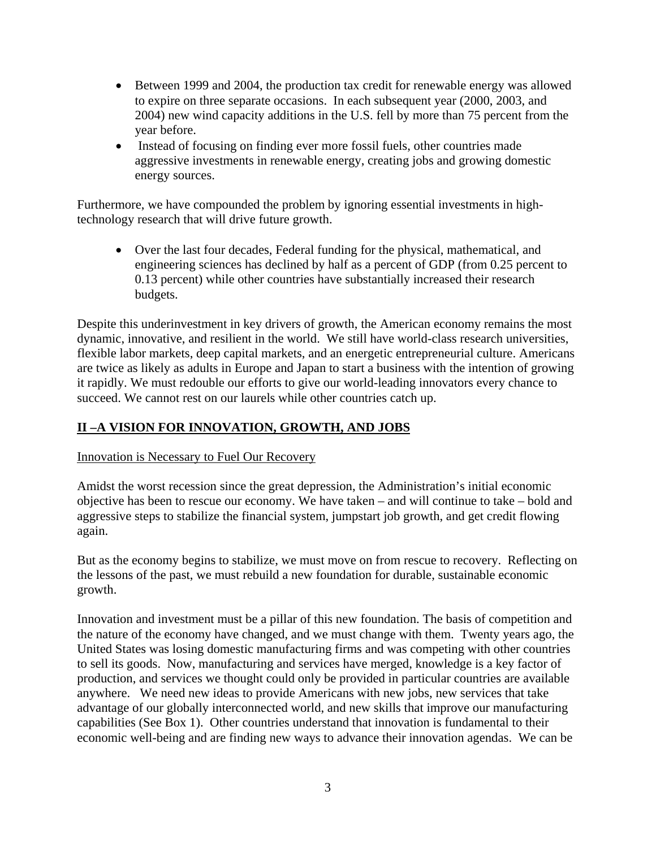- Between 1999 and 2004, the production tax credit for renewable energy was allowed to expire on three separate occasions. In each subsequent year (2000, 2003, and 2004) new wind capacity additions in the U.S. fell by more than 75 percent from the year before.
- Instead of focusing on finding ever more fossil fuels, other countries made aggressive investments in renewable energy, creating jobs and growing domestic energy sources.

 technology research that will drive future growth. Furthermore, we have compounded the problem by ignoring essential investments in high-

 Over the last four decades, Federal funding for the physical, mathematical, and engineering sciences has declined by half as a percent of GDP (from 0.25 percent to 0.13 percent) while other countries have substantially increased their research budgets.

Despite this underinvestment in key drivers of growth, the American economy remains the most dynamic, innovative, and resilient in the world. We still have world-class research universities, flexible labor markets, deep capital markets, and an energetic entrepreneurial culture. Americans are twice as likely as adults in Europe and Japan to start a business with the intention of growing it rapidly. We must redouble our efforts to give our world-leading innovators every chance to succeed. We cannot rest on our laurels while other countries catch up.

## **II –A VISION FOR INNOVATION, GROWTH, AND JOBS**

### Innovation is Necessary to Fuel Our Recovery

Amidst the worst recession since the great depression, the Administration's initial economic objective has been to rescue our economy. We have taken – and will continue to take – bold and aggressive steps to stabilize the financial system, jumpstart job growth, and get credit flowing again.

But as the economy begins to stabilize, we must move on from rescue to recovery. Reflecting on the lessons of the past, we must rebuild a new foundation for durable, sustainable economic growth.

Innovation and investment must be a pillar of this new foundation. The basis of competition and the nature of the economy have changed, and we must change with them. Twenty years ago, the United States was losing domestic manufacturing firms and was competing with other countries to sell its goods. Now, manufacturing and services have merged, knowledge is a key factor of production, and services we thought could only be provided in particular countries are available anywhere. We need new ideas to provide Americans with new jobs, new services that take advantage of our globally interconnected world, and new skills that improve our manufacturing capabilities (See Box 1). Other countries understand that innovation is fundamental to their economic well-being and are finding new ways to advance their innovation agendas. We can be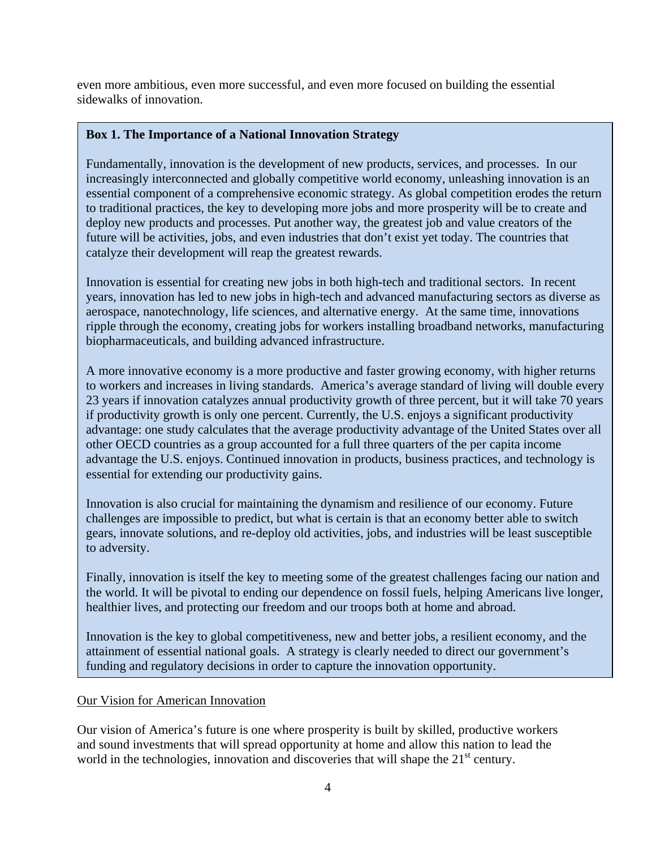even more ambitious, even more successful, and even more focused on building the essential sidewalks of innovation.

### **Box 1. The Importance of a National Innovation Strategy**

Fundamentally, innovation is the development of new products, services, and processes. In our increasingly interconnected and globally competitive world economy, unleashing innovation is an essential component of a comprehensive economic strategy. As global competition erodes the return to traditional practices, the key to developing more jobs and more prosperity will be to create and deploy new products and processes. Put another way, the greatest job and value creators of the future will be activities, jobs, and even industries that don't exist yet today. The countries that catalyze their development will reap the greatest rewards.

Innovation is essential for creating new jobs in both high-tech and traditional sectors. In recent years, innovation has led to new jobs in high-tech and advanced manufacturing sectors as diverse as aerospace, nanotechnology, life sciences, and alternative energy. At the same time, innovations ripple through the economy, creating jobs for workers installing broadband networks, manufacturing biopharmaceuticals, and building advanced infrastructure.

A more innovative economy is a more productive and faster growing economy, with higher returns to workers and increases in living standards. America's average standard of living will double every 23 years if innovation catalyzes annual productivity growth of three percent, but it will take 70 years if productivity growth is only one percent. Currently, the U.S. enjoys a significant productivity advantage: one study calculates that the average productivity advantage of the United States over all other OECD countries as a group accounted for a full three quarters of the per capita income advantage the U.S. enjoys. Continued innovation in products, business practices, and technology is essential for extending our productivity gains.

Innovation is also crucial for maintaining the dynamism and resilience of our economy. Future challenges are impossible to predict, but what is certain is that an economy better able to switch gears, innovate solutions, and re-deploy old activities, jobs, and industries will be least susceptible to adversity.

Finally, innovation is itself the key to meeting some of the greatest challenges facing our nation and the world. It will be pivotal to ending our dependence on fossil fuels, helping Americans live longer, healthier lives, and protecting our freedom and our troops both at home and abroad.

Innovation is the key to global competitiveness, new and better jobs, a resilient economy, and the attainment of essential national goals. A strategy is clearly needed to direct our government's funding and regulatory decisions in order to capture the innovation opportunity.

#### Our Vision for American Innovation

Our vision of America's future is one where prosperity is built by skilled, productive workers and sound investments that will spread opportunity at home and allow this nation to lead the world in the technologies, innovation and discoveries that will shape the  $21<sup>st</sup>$  century.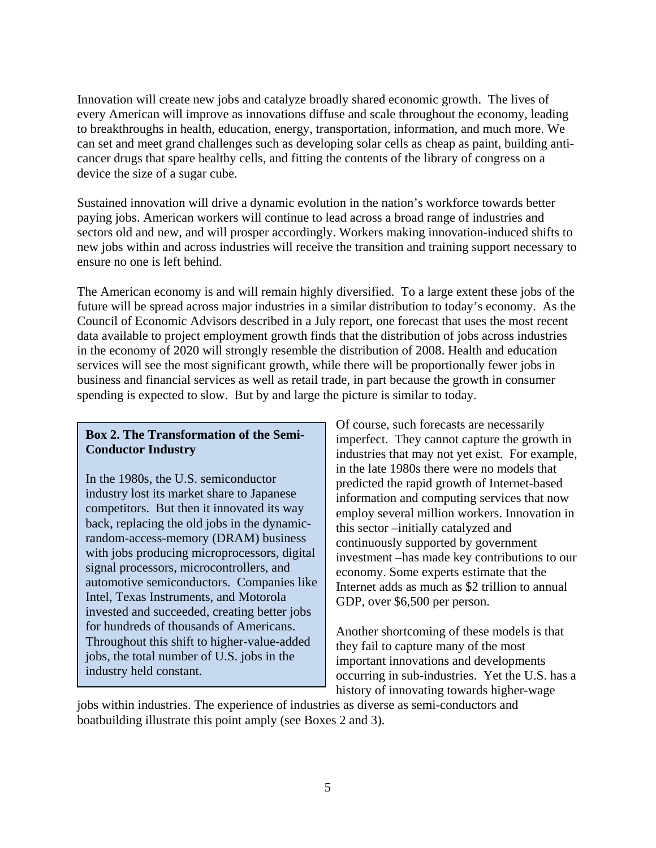Innovation will create new jobs and catalyze broadly shared economic growth. The lives of every American will improve as innovations diffuse and scale throughout the economy, leading to breakthroughs in health, education, energy, transportation, information, and much more. We can set and meet grand challenges such as developing solar cells as cheap as paint, building anticancer drugs that spare healthy cells, and fitting the contents of the library of congress on a device the size of a sugar cube.

Sustained innovation will drive a dynamic evolution in the nation's workforce towards better paying jobs. American workers will continue to lead across a broad range of industries and sectors old and new, and will prosper accordingly. Workers making innovation-induced shifts to new jobs within and across industries will receive the transition and training support necessary to ensure no one is left behind.

The American economy is and will remain highly diversified. To a large extent these jobs of the future will be spread across major industries in a similar distribution to today's economy. As the Council of Economic Advisors described in a July report, one forecast that uses the most recent data available to project employment growth finds that the distribution of jobs across industries in the economy of 2020 will strongly resemble the distribution of 2008. Health and education services will see the most significant growth, while there will be proportionally fewer jobs in business and financial services as well as retail trade, in part because the growth in consumer spending is expected to slow. But by and large the picture is similar to today.

#### **Box 2. The Transformation of the Semi-Conductor Industry**

In the 1980s, the U.S. semiconductor industry lost its market share to Japanese competitors. But then it innovated its way back, replacing the old jobs in the dynamicrandom-access-memory (DRAM) business with jobs producing microprocessors, digital signal processors, microcontrollers, and automotive semiconductors. Companies like Intel, Texas Instruments, and Motorola invested and succeeded, creating better jobs for hundreds of thousands of Americans. Throughout this shift to higher-value-added jobs, the total number of U.S. jobs in the industry held constant.

Of course, such forecasts are necessarily imperfect. They cannot capture the growth in industries that may not yet exist. For example, in the late 1980s there were no models that predicted the rapid growth of Internet-based information and computing services that now employ several million workers. Innovation in this sector –initially catalyzed and continuously supported by government investment –has made key contributions to our economy. Some experts estimate that the Internet adds as much as \$2 trillion to annual GDP, over \$6,500 per person.

Another shortcoming of these models is that they fail to capture many of the most important innovations and developments occurring in sub-industries. Yet the U.S. has a history of innovating towards higher-wage

jobs within industries. The experience of industries as diverse as semi-conductors and boatbuilding illustrate this point amply (see Boxes 2 and 3).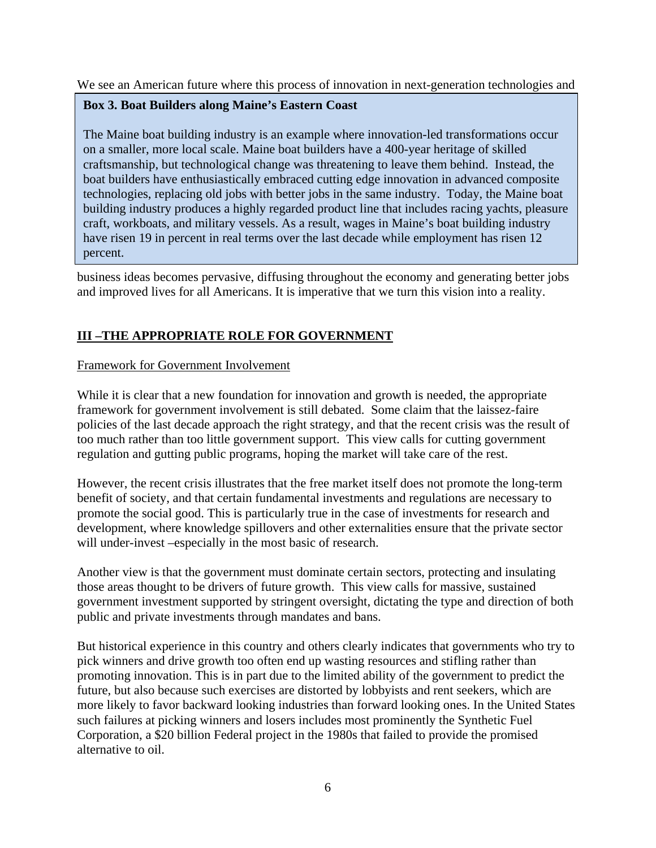We see an American future where this process of innovation in next-generation technologies and

### **Box 3. Boat Builders along Maine's Eastern Coast**

The Maine boat building industry is an example where innovation-led transformations occur on a smaller, more local scale. Maine boat builders have a 400-year heritage of skilled craftsmanship, but technological change was threatening to leave them behind. Instead, the boat builders have enthusiastically embraced cutting edge innovation in advanced composite technologies, replacing old jobs with better jobs in the same industry. Today, the Maine boat building industry produces a highly regarded product line that includes racing yachts, pleasure craft, workboats, and military vessels. As a result, wages in Maine's boat building industry have risen 19 in percent in real terms over the last decade while employment has risen 12 percent.

business ideas becomes pervasive, diffusing throughout the economy and generating better jobs and improved lives for all Americans. It is imperative that we turn this vision into a reality.

## **III –THE APPROPRIATE ROLE FOR GOVERNMENT**

### Framework for Government Involvement

While it is clear that a new foundation for innovation and growth is needed, the appropriate framework for government involvement is still debated. Some claim that the laissez-faire policies of the last decade approach the right strategy, and that the recent crisis was the result of too much rather than too little government support. This view calls for cutting government regulation and gutting public programs, hoping the market will take care of the rest.

However, the recent crisis illustrates that the free market itself does not promote the long-term benefit of society, and that certain fundamental investments and regulations are necessary to promote the social good. This is particularly true in the case of investments for research and development, where knowledge spillovers and other externalities ensure that the private sector will under-invest –especially in the most basic of research.

Another view is that the government must dominate certain sectors, protecting and insulating those areas thought to be drivers of future growth. This view calls for massive, sustained government investment supported by stringent oversight, dictating the type and direction of both public and private investments through mandates and bans.

But historical experience in this country and others clearly indicates that governments who try to pick winners and drive growth too often end up wasting resources and stifling rather than promoting innovation. This is in part due to the limited ability of the government to predict the future, but also because such exercises are distorted by lobbyists and rent seekers, which are more likely to favor backward looking industries than forward looking ones. In the United States such failures at picking winners and losers includes most prominently the Synthetic Fuel Corporation, a \$20 billion Federal project in the 1980s that failed to provide the promised alternative to oil.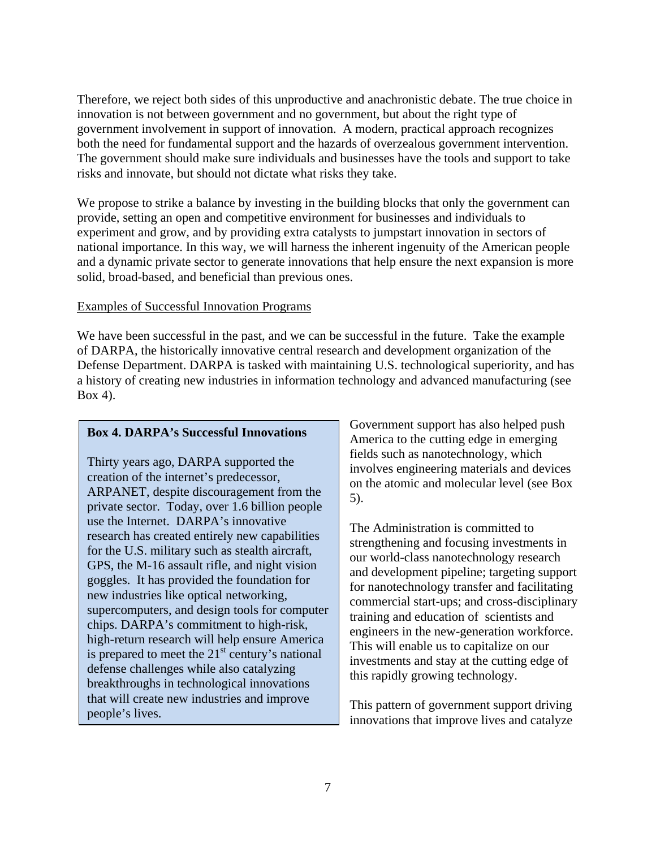Therefore, we reject both sides of this unproductive and anachronistic debate. The true choice in innovation is not between government and no government, but about the right type of government involvement in support of innovation. A modern, practical approach recognizes both the need for fundamental support and the hazards of overzealous government intervention. The government should make sure individuals and businesses have the tools and support to take risks and innovate, but should not dictate what risks they take.

We propose to strike a balance by investing in the building blocks that only the government can provide, setting an open and competitive environment for businesses and individuals to experiment and grow, and by providing extra catalysts to jumpstart innovation in sectors of national importance. In this way, we will harness the inherent ingenuity of the American people and a dynamic private sector to generate innovations that help ensure the next expansion is more solid, broad-based, and beneficial than previous ones.

#### Examples of Successful Innovation Programs

We have been successful in the past, and we can be successful in the future. Take the example of DARPA, the historically innovative central research and development organization of the Defense Department. DARPA is tasked with maintaining U.S. technological superiority, and has a history of creating new industries in information technology and advanced manufacturing (see Box 4).

#### **Box 4. DARPA's Successful Innovations**

Thirty years ago, DARPA supported the creation of the internet's predecessor, ARPANET, despite discouragement from the private sector. Today, over 1.6 billion people use the Internet. DARPA's innovative research has created entirely new capabilities for the U.S. military such as stealth aircraft, GPS, the M-16 assault rifle, and night vision goggles. It has provided the foundation for new industries like optical networking, supercomputers, and design tools for computer chips. DARPA's commitment to high-risk, high-return research will help ensure America is prepared to meet the  $21<sup>st</sup>$  century's national defense challenges while also catalyzing breakthroughs in technological innovations that will create new industries and improve people's lives.

Government support has also helped push America to the cutting edge in emerging fields such as nanotechnology, which involves engineering materials and devices on the atomic and molecular level (see Box 5).

The Administration is committed to strengthening and focusing investments in our world-class nanotechnology research and development pipeline; targeting support for nanotechnology transfer and facilitating commercial start-ups; and cross-disciplinary training and education of scientists and engineers in the new-generation workforce. This will enable us to capitalize on our investments and stay at the cutting edge of this rapidly growing technology.

This pattern of government support driving innovations that improve lives and catalyze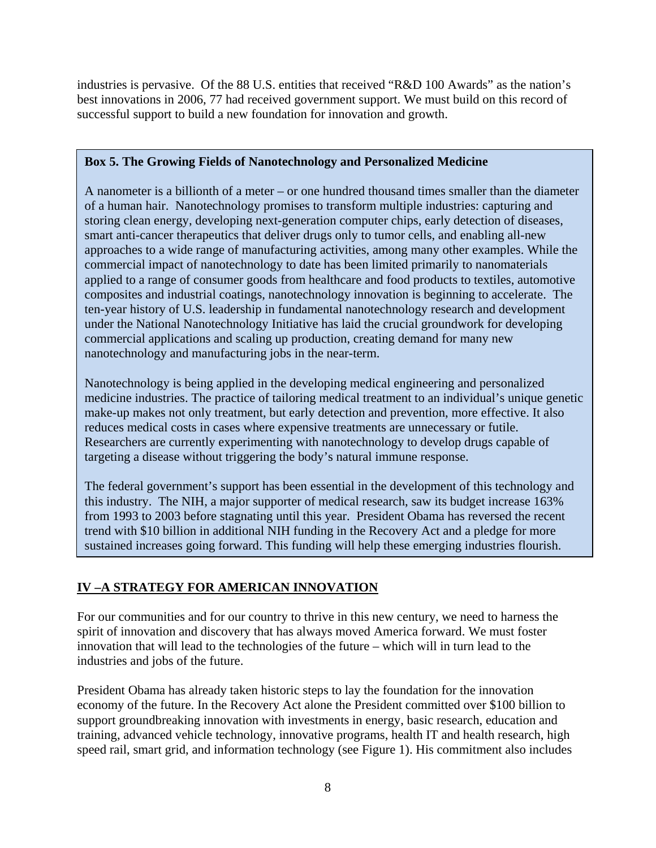industries is pervasive. Of the 88 U.S. entities that received "R&D 100 Awards" as the nation's best innovations in 2006, 77 had received government support. We must build on this record of successful support to build a new foundation for innovation and growth.

### **Box 5. The Growing Fields of Nanotechnology and Personalized Medicine**

A nanometer is a billionth of a meter – or one hundred thousand times smaller than the diameter of a human hair. Nanotechnology promises to transform multiple industries: capturing and storing clean energy, developing next-generation computer chips, early detection of diseases, smart anti-cancer therapeutics that deliver drugs only to tumor cells, and enabling all-new approaches to a wide range of manufacturing activities, among many other examples. While the commercial impact of nanotechnology to date has been limited primarily to nanomaterials applied to a range of consumer goods from healthcare and food products to textiles, automotive composites and industrial coatings, nanotechnology innovation is beginning to accelerate. The ten-year history of U.S. leadership in fundamental nanotechnology research and development under the National Nanotechnology Initiative has laid the crucial groundwork for developing commercial applications and scaling up production, creating demand for many new nanotechnology and manufacturing jobs in the near-term.

Nanotechnology is being applied in the developing medical engineering and personalized medicine industries. The practice of tailoring medical treatment to an individual's unique genetic make-up makes not only treatment, but early detection and prevention, more effective. It also reduces medical costs in cases where expensive treatments are unnecessary or futile. Researchers are currently experimenting with nanotechnology to develop drugs capable of targeting a disease without triggering the body's natural immune response.

The federal government's support has been essential in the development of this technology and this industry. The NIH, a major supporter of medical research, saw its budget increase 163% from 1993 to 2003 before stagnating until this year. President Obama has reversed the recent trend with \$10 billion in additional NIH funding in the Recovery Act and a pledge for more sustained increases going forward. This funding will help these emerging industries flourish.

## **IV –A STRATEGY FOR AMERICAN INNOVATION**

For our communities and for our country to thrive in this new century, we need to harness the spirit of innovation and discovery that has always moved America forward. We must foster innovation that will lead to the technologies of the future – which will in turn lead to the industries and jobs of the future.

President Obama has already taken historic steps to lay the foundation for the innovation economy of the future. In the Recovery Act alone the President committed over \$100 billion to support groundbreaking innovation with investments in energy, basic research, education and training, advanced vehicle technology, innovative programs, health IT and health research, high speed rail, smart grid, and information technology (see Figure 1). His commitment also includes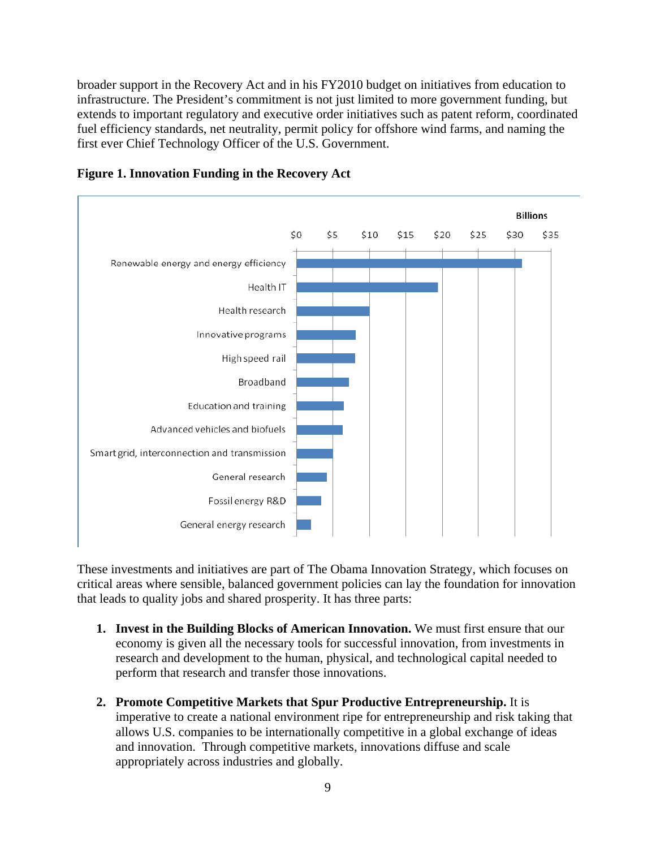broader support in the Recovery Act and in his FY2010 budget on initiatives from education to infrastructure. The President's commitment is not just limited to more government funding, but extends to important regulatory and executive order initiatives such as patent reform, coordinated fuel efficiency standards, net neutrality, permit policy for offshore wind farms, and naming the first ever Chief Technology Officer of the U.S. Government.



**Figure 1. Innovation Funding in the Recovery Act** 

These investments and initiatives are part of The Obama Innovation Strategy, which focuses on critical areas where sensible, balanced government policies can lay the foundation for innovation that leads to quality jobs and shared prosperity. It has three parts:

- **1.** Invest in the Building Blocks of American Innovation. We must first ensure that our economy is given all the necessary tools for successful innovation, from investments in research and development to the human, physical, and technological capital needed to perform that research and transfer those innovations.
- **2. Promote Competitive Markets that Spur Productive Entrepreneurship.** It is imperative to create a national environment ripe for entrepreneurship and risk taking that allows U.S. companies to be internationally competitive in a global exchange of ideas and innovation. Through competitive markets, innovations diffuse and scale appropriately across industries and globally.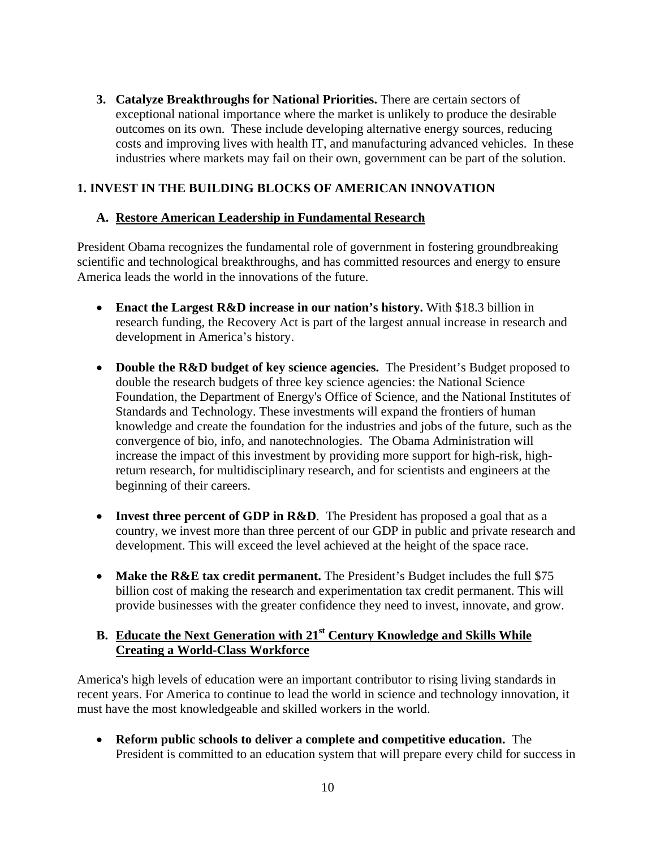**3. Catalyze Breakthroughs for National Priorities.** There are certain sectors of exceptional national importance where the market is unlikely to produce the desirable outcomes on its own. These include developing alternative energy sources, reducing costs and improving lives with health IT, and manufacturing advanced vehicles. In these industries where markets may fail on their own, government can be part of the solution.

## **1. INVEST IN THE BUILDING BLOCKS OF AMERICAN INNOVATION**

## **A. Restore American Leadership in Fundamental Research**

President Obama recognizes the fundamental role of government in fostering groundbreaking scientific and technological breakthroughs, and has committed resources and energy to ensure America leads the world in the innovations of the future.

- **Enact the Largest R&D increase in our nation's history.** With \$18.3 billion in research funding, the Recovery Act is part of the largest annual increase in research and development in America's history.
- **Double the R&D budget of key science agencies.** The President's Budget proposed to double the research budgets of three key science agencies: the National Science Foundation, the Department of Energy's Office of Science, and the National Institutes of Standards and Technology. These investments will expand the frontiers of human knowledge and create the foundation for the industries and jobs of the future, such as the convergence of bio, info, and nanotechnologies. The Obama Administration will increase the impact of this investment by providing more support for high-risk, highreturn research, for multidisciplinary research, and for scientists and engineers at the beginning of their careers.
- **Invest three percent of GDP in R&D**. The President has proposed a goal that as a country, we invest more than three percent of our GDP in public and private research and development. This will exceed the level achieved at the height of the space race.
- Make the R&E tax credit permanent. The President's Budget includes the full \$75 billion cost of making the research and experimentation tax credit permanent. This will provide businesses with the greater confidence they need to invest, innovate, and grow.

## **B. Educate the Next Generation with 21st Century Knowledge and Skills While Creating a World-Class Workforce**

America's high levels of education were an important contributor to rising living standards in recent years. For America to continue to lead the world in science and technology innovation, it must have the most knowledgeable and skilled workers in the world.

 **Reform public schools to deliver a complete and competitive education.** The President is committed to an education system that will prepare every child for success in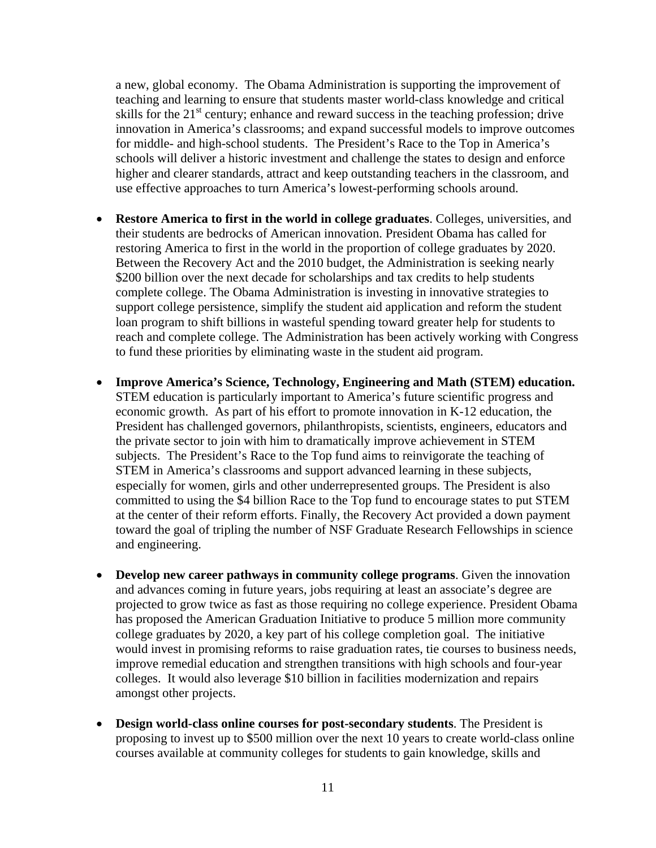a new, global economy. The Obama Administration is supporting the improvement of teaching and learning to ensure that students master world-class knowledge and critical skills for the  $21<sup>st</sup>$  century; enhance and reward success in the teaching profession; drive innovation in America's classrooms; and expand successful models to improve outcomes for middle- and high-school students. The President's Race to the Top in America's schools will deliver a historic investment and challenge the states to design and enforce higher and clearer standards, attract and keep outstanding teachers in the classroom, and use effective approaches to turn America's lowest-performing schools around.

- **Restore America to first in the world in college graduates**. Colleges, universities, and their students are bedrocks of American innovation. President Obama has called for restoring America to first in the world in the proportion of college graduates by 2020. Between the Recovery Act and the 2010 budget, the Administration is seeking nearly \$200 billion over the next decade for scholarships and tax credits to help students complete college. The Obama Administration is investing in innovative strategies to support college persistence, simplify the student aid application and reform the student loan program to shift billions in wasteful spending toward greater help for students to reach and complete college. The Administration has been actively working with Congress to fund these priorities by eliminating waste in the student aid program.
- **Improve America's Science, Technology, Engineering and Math (STEM) education.**  STEM education is particularly important to America's future scientific progress and economic growth. As part of his effort to promote innovation in K-12 education, the President has challenged governors, philanthropists, scientists, engineers, educators and the private sector to join with him to dramatically improve achievement in STEM subjects. The President's Race to the Top fund aims to reinvigorate the teaching of STEM in America's classrooms and support advanced learning in these subjects, especially for women, girls and other underrepresented groups. The President is also committed to using the \$4 billion Race to the Top fund to encourage states to put STEM at the center of their reform efforts. Finally, the Recovery Act provided a down payment toward the goal of tripling the number of NSF Graduate Research Fellowships in science and engineering.
- **Develop new career pathways in community college programs**. Given the innovation and advances coming in future years, jobs requiring at least an associate's degree are projected to grow twice as fast as those requiring no college experience. President Obama has proposed the American Graduation Initiative to produce 5 million more community college graduates by 2020, a key part of his college completion goal. The initiative would invest in promising reforms to raise graduation rates, tie courses to business needs, improve remedial education and strengthen transitions with high schools and four-year colleges. It would also leverage \$10 billion in facilities modernization and repairs amongst other projects.
- **Design world-class online courses for post-secondary students**. The President is proposing to invest up to \$500 million over the next 10 years to create world-class online courses available at community colleges for students to gain knowledge, skills and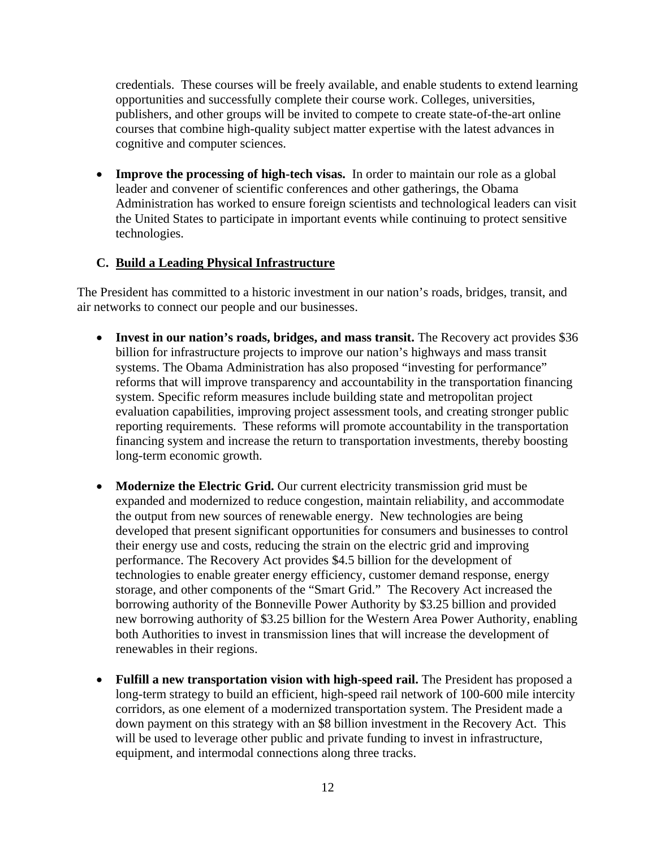credentials. These courses will be freely available, and enable students to extend learning opportunities and successfully complete their course work. Colleges, universities, publishers, and other groups will be invited to compete to create state-of-the-art online courses that combine high-quality subject matter expertise with the latest advances in cognitive and computer sciences.

• **Improve the processing of high-tech visas.** In order to maintain our role as a global leader and convener of scientific conferences and other gatherings, the Obama Administration has worked to ensure foreign scientists and technological leaders can visit the United States to participate in important events while continuing to protect sensitive technologies.

### **C. Build a Leading Physical Infrastructure**

The President has committed to a historic investment in our nation's roads, bridges, transit, and air networks to connect our people and our businesses.

- Invest in our nation's roads, bridges, and mass transit. The Recovery act provides \$36 billion for infrastructure projects to improve our nation's highways and mass transit systems. The Obama Administration has also proposed "investing for performance" reforms that will improve transparency and accountability in the transportation financing system. Specific reform measures include building state and metropolitan project evaluation capabilities, improving project assessment tools, and creating stronger public reporting requirements. These reforms will promote accountability in the transportation financing system and increase the return to transportation investments, thereby boosting long-term economic growth.
- **Modernize the Electric Grid.** Our current electricity transmission grid must be expanded and modernized to reduce congestion, maintain reliability, and accommodate the output from new sources of renewable energy. New technologies are being developed that present significant opportunities for consumers and businesses to control their energy use and costs, reducing the strain on the electric grid and improving performance. The Recovery Act provides \$4.5 billion for the development of technologies to enable greater energy efficiency, customer demand response, energy storage, and other components of the "Smart Grid." The Recovery Act increased the borrowing authority of the Bonneville Power Authority by \$3.25 billion and provided new borrowing authority of \$3.25 billion for the Western Area Power Authority, enabling both Authorities to invest in transmission lines that will increase the development of renewables in their regions.
- Fulfill a new transportation vision with high-speed rail. The President has proposed a long-term strategy to build an efficient, high-speed rail network of 100-600 mile intercity corridors, as one element of a modernized transportation system. The President made a down payment on this strategy with an \$8 billion investment in the Recovery Act. This will be used to leverage other public and private funding to invest in infrastructure, equipment, and intermodal connections along three tracks.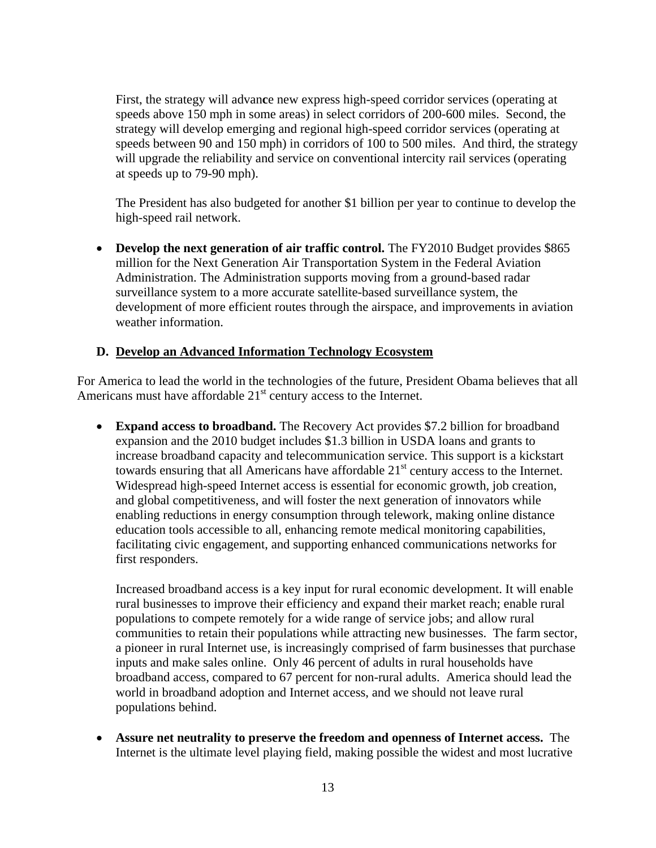First, the strategy will advan**c**e new express high-speed corridor services (operating at speeds above 150 mph in some areas) in select corridors of 200-600 miles. Second, the strategy will develop emerging and regional high-speed corridor services (operating at speeds between 90 and 150 mph) in corridors of 100 to 500 miles. And third, the strategy will upgrade the reliability and service on conventional intercity rail services (operating at speeds up to 79-90 mph).

The President has also budgeted for another \$1 billion per year to continue to develop the high-speed rail network.

• **Develop the next generation of air traffic control.** The FY2010 Budget provides \$865 million for the Next Generation Air Transportation System in the Federal Aviation Administration. The Administration supports moving from a ground-based radar surveillance system to a more accurate satellite-based surveillance system, the development of more efficient routes through the airspace, and improvements in aviation weather information.

### **D. Develop an Advanced Information Technology Ecosystem**

For America to lead the world in the technologies of the future, President Obama believes that all Americans must have affordable  $21<sup>st</sup>$  century access to the Internet.

 **Expand access to broadband.** The Recovery Act provides \$7.2 billion for broadband expansion and the 2010 budget includes \$1.3 billion in USDA loans and grants to increase broadband capacity and telecommunication service. This support is a kickstart towards ensuring that all Americans have affordable  $21<sup>st</sup>$  century access to the Internet. Widespread high-speed Internet access is essential for economic growth, job creation, and global competitiveness, and will foster the next generation of innovators while enabling reductions in energy consumption through telework, making online distance education tools accessible to all, enhancing remote medical monitoring capabilities, facilitating civic engagement, and supporting enhanced communications networks for first responders.

Increased broadband access is a key input for rural economic development. It will enable rural businesses to improve their efficiency and expand their market reach; enable rural populations to compete remotely for a wide range of service jobs; and allow rural communities to retain their populations while attracting new businesses. The farm sector, a pioneer in rural Internet use, is increasingly comprised of farm businesses that purchase inputs and make sales online. Only 46 percent of adults in rural households have broadband access, compared to 67 percent for non-rural adults. America should lead the world in broadband adoption and Internet access, and we should not leave rural populations behind.

 **Assure net neutrality to preserve the freedom and openness of Internet access.** The Internet is the ultimate level playing field, making possible the widest and most lucrative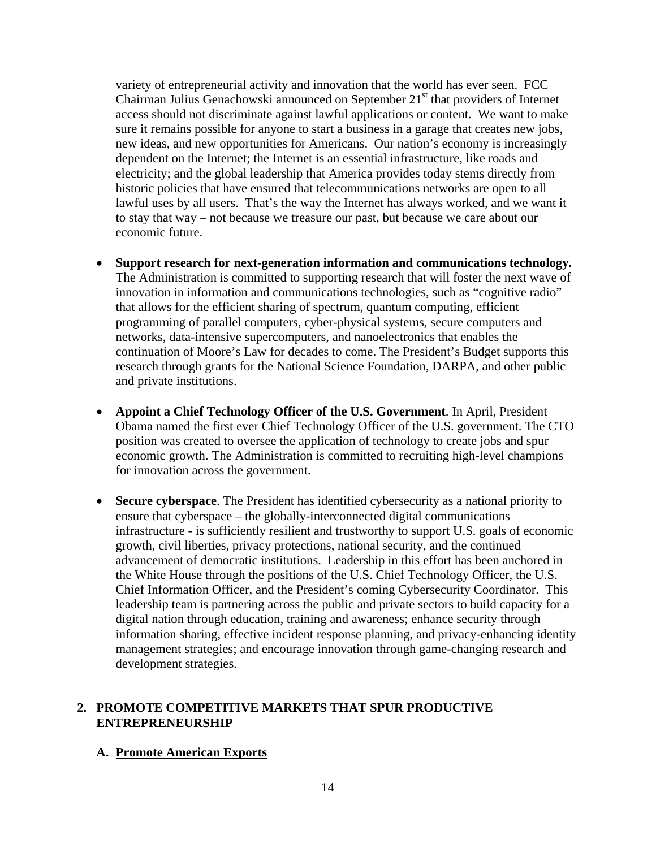variety of entrepreneurial activity and innovation that the world has ever seen. FCC Chairman Julius Genachowski announced on September  $21<sup>st</sup>$  that providers of Internet access should not discriminate against lawful applications or content. We want to make sure it remains possible for anyone to start a business in a garage that creates new jobs, new ideas, and new opportunities for Americans. Our nation's economy is increasingly dependent on the Internet; the Internet is an essential infrastructure, like roads and electricity; and the global leadership that America provides today stems directly from historic policies that have ensured that telecommunications networks are open to all lawful uses by all users. That's the way the Internet has always worked, and we want it to stay that way – not because we treasure our past, but because we care about our economic future.

- **Support research for next-generation information and communications technology.**  The Administration is committed to supporting research that will foster the next wave of innovation in information and communications technologies, such as "cognitive radio" that allows for the efficient sharing of spectrum, quantum computing, efficient programming of parallel computers, cyber-physical systems, secure computers and networks, data-intensive supercomputers, and nanoelectronics that enables the continuation of Moore's Law for decades to come. The President's Budget supports this research through grants for the National Science Foundation, DARPA, and other public and private institutions.
- **Appoint a Chief Technology Officer of the U.S. Government**. In April, President Obama named the first ever Chief Technology Officer of the U.S. government. The CTO position was created to oversee the application of technology to create jobs and spur economic growth. The Administration is committed to recruiting high-level champions for innovation across the government.
- **Secure cyberspace**. The President has identified cybersecurity as a national priority to ensure that cyberspace – the globally-interconnected digital communications infrastructure - is sufficiently resilient and trustworthy to support U.S. goals of economic growth, civil liberties, privacy protections, national security, and the continued advancement of democratic institutions. Leadership in this effort has been anchored in the White House through the positions of the U.S. Chief Technology Officer, the U.S. Chief Information Officer, and the President's coming Cybersecurity Coordinator. This leadership team is partnering across the public and private sectors to build capacity for a digital nation through education, training and awareness; enhance security through information sharing, effective incident response planning, and privacy-enhancing identity management strategies; and encourage innovation through game-changing research and development strategies.

#### **2. PROMOTE COMPETITIVE MARKETS THAT SPUR PRODUCTIVE ENTREPRENEURSHIP**

#### **A. Promote American Exports**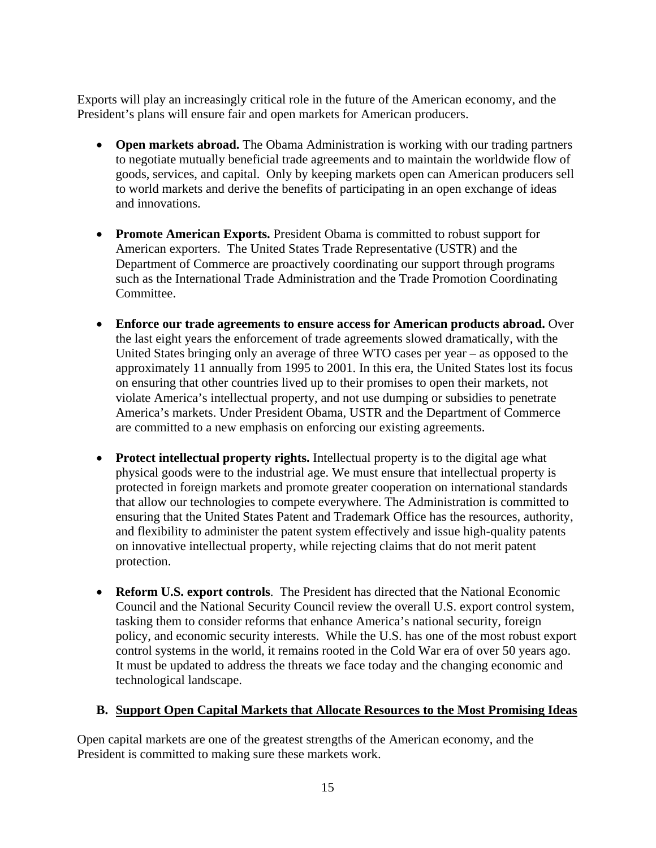Exports will play an increasingly critical role in the future of the American economy, and the President's plans will ensure fair and open markets for American producers.

- **Open markets abroad.** The Obama Administration is working with our trading partners to negotiate mutually beneficial trade agreements and to maintain the worldwide flow of goods, services, and capital. Only by keeping markets open can American producers sell to world markets and derive the benefits of participating in an open exchange of ideas and innovations.
- **Promote American Exports.** President Obama is committed to robust support for American exporters. The United States Trade Representative (USTR) and the Department of Commerce are proactively coordinating our support through programs such as the International Trade Administration and the Trade Promotion Coordinating Committee.
- **Enforce our trade agreements to ensure access for American products abroad.** Over the last eight years the enforcement of trade agreements slowed dramatically, with the United States bringing only an average of three WTO cases per year – as opposed to the approximately 11 annually from 1995 to 2001. In this era, the United States lost its focus on ensuring that other countries lived up to their promises to open their markets, not violate America's intellectual property, and not use dumping or subsidies to penetrate America's markets. Under President Obama, USTR and the Department of Commerce are committed to a new emphasis on enforcing our existing agreements.
- **Protect intellectual property rights.** Intellectual property is to the digital age what physical goods were to the industrial age. We must ensure that intellectual property is protected in foreign markets and promote greater cooperation on international standards that allow our technologies to compete everywhere. The Administration is committed to ensuring that the United States Patent and Trademark Office has the resources, authority, and flexibility to administer the patent system effectively and issue high-quality patents on innovative intellectual property, while rejecting claims that do not merit patent protection.
- **Reform U.S. export controls**. The President has directed that the National Economic Council and the National Security Council review the overall U.S. export control system, tasking them to consider reforms that enhance America's national security, foreign policy, and economic security interests. While the U.S. has one of the most robust export control systems in the world, it remains rooted in the Cold War era of over 50 years ago. It must be updated to address the threats we face today and the changing economic and technological landscape.

### **B. Support Open Capital Markets that Allocate Resources to the Most Promising Ideas**

Open capital markets are one of the greatest strengths of the American economy, and the President is committed to making sure these markets work.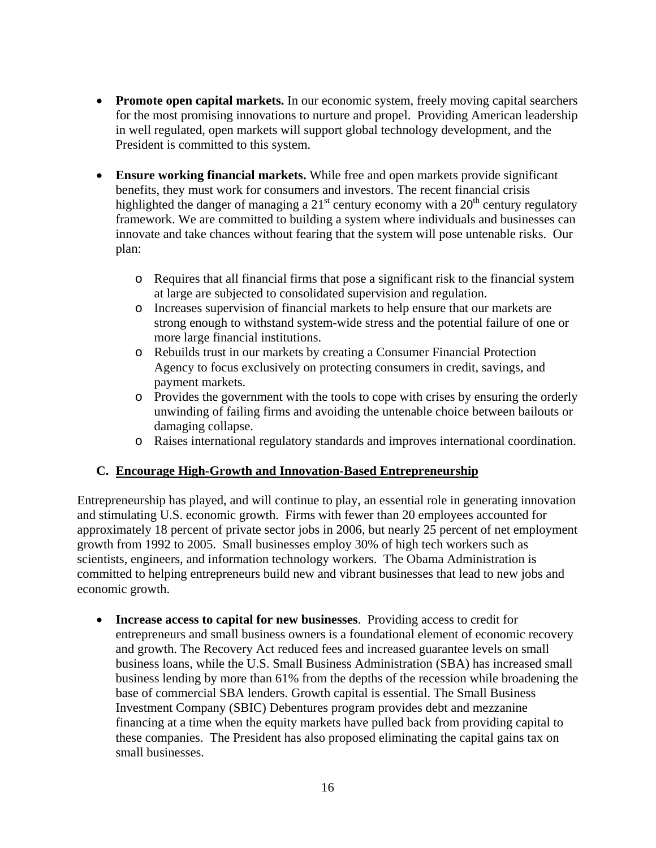- **Promote open capital markets.** In our economic system, freely moving capital searchers for the most promising innovations to nurture and propel. Providing American leadership in well regulated, open markets will support global technology development, and the President is committed to this system.
- **Ensure working financial markets.** While free and open markets provide significant benefits, they must work for consumers and investors. The recent financial crisis highlighted the danger of managing a  $21<sup>st</sup>$  century economy with a  $20<sup>th</sup>$  century regulatory framework. We are committed to building a system where individuals and businesses can innovate and take chances without fearing that the system will pose untenable risks. Our plan:
	- $\circ$  Requires that all financial firms that pose a significant risk to the financial system at large are subjected to consolidated supervision and regulation.
	- o Increases supervision of financial markets to help ensure that our markets are strong enough to withstand system-wide stress and the potential failure of one or more large financial institutions.
	- Rebuilds trust in our markets by creating a Consumer Financial Protection Agency to focus exclusively on protecting consumers in credit, savings, and payment markets. o
	- o Provides the government with the tools to cope with crises by ensuring the orderly unwinding of failing firms and avoiding the untenable choice between bailouts or damaging collapse.
	- Raises international regulatory standards and improves international coordination. o

## **C. Encourage High-Growth and Innovation-Based Entrepreneurship**

Entrepreneurship has played, and will continue to play, an essential role in generating innovation and stimulating U.S. economic growth. Firms with fewer than 20 employees accounted for approximately 18 percent of private sector jobs in 2006, but nearly 25 percent of net employment growth from 1992 to 2005. Small businesses employ 30% of high tech workers such as scientists, engineers, and information technology workers. The Obama Administration is committed to helping entrepreneurs build new and vibrant businesses that lead to new jobs and economic growth.

 **Increase access to capital for new businesses**. Providing access to credit for entrepreneurs and small business owners is a foundational element of economic recovery and growth. The Recovery Act reduced fees and increased guarantee levels on small business loans, while the U.S. Small Business Administration (SBA) has increased small business lending by more than 61% from the depths of the recession while broadening the base of commercial SBA lenders. Growth capital is essential. The Small Business Investment Company (SBIC) Debentures program provides debt and mezzanine financing at a time when the equity markets have pulled back from providing capital to these companies. The President has also proposed eliminating the capital gains tax on small businesses.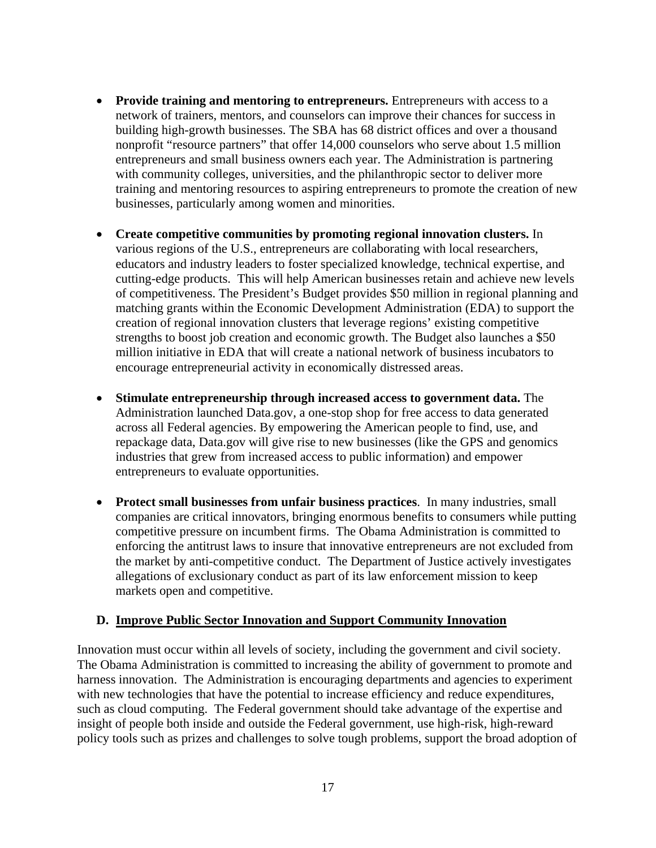- **Provide training and mentoring to entrepreneurs.** Entrepreneurs with access to a network of trainers, mentors, and counselors can improve their chances for success in building high-growth businesses. The SBA has 68 district offices and over a thousand nonprofit "resource partners" that offer 14,000 counselors who serve about 1.5 million entrepreneurs and small business owners each year. The Administration is partnering with community colleges, universities, and the philanthropic sector to deliver more training and mentoring resources to aspiring entrepreneurs to promote the creation of new businesses, particularly among women and minorities.
- **Create competitive communities by promoting regional innovation clusters.** In various regions of the U.S., entrepreneurs are collaborating with local researchers, educators and industry leaders to foster specialized knowledge, technical expertise, and cutting-edge products. This will help American businesses retain and achieve new levels of competitiveness. The President's Budget provides \$50 million in regional planning and matching grants within the Economic Development Administration (EDA) to support the creation of regional innovation clusters that leverage regions' existing competitive strengths to boost job creation and economic growth. The Budget also launches a \$50 million initiative in EDA that will create a national network of business incubators to encourage entrepreneurial activity in economically distressed areas.
- **Stimulate entrepreneurship through increased access to government data.** The Administration launched Data.gov, a one-stop shop for free access to data generated across all Federal agencies. By empowering the American people to find, use, and repackage data, Data.gov will give rise to new businesses (like the GPS and genomics industries that grew from increased access to public information) and empower entrepreneurs to evaluate opportunities.
- **Protect small businesses from unfair business practices**. In many industries, small companies are critical innovators, bringing enormous benefits to consumers while putting competitive pressure on incumbent firms. The Obama Administration is committed to enforcing the antitrust laws to insure that innovative entrepreneurs are not excluded from the market by anti-competitive conduct. The Department of Justice actively investigates allegations of exclusionary conduct as part of its law enforcement mission to keep markets open and competitive.

#### **D. Improve Public Sector Innovation and Support Community Innovation**

Innovation must occur within all levels of society, including the government and civil society. The Obama Administration is committed to increasing the ability of government to promote and harness innovation. The Administration is encouraging departments and agencies to experiment with new technologies that have the potential to increase efficiency and reduce expenditures, such as cloud computing. The Federal government should take advantage of the expertise and insight of people both inside and outside the Federal government, use high-risk, high-reward policy tools such as prizes and challenges to solve tough problems, support the broad adoption of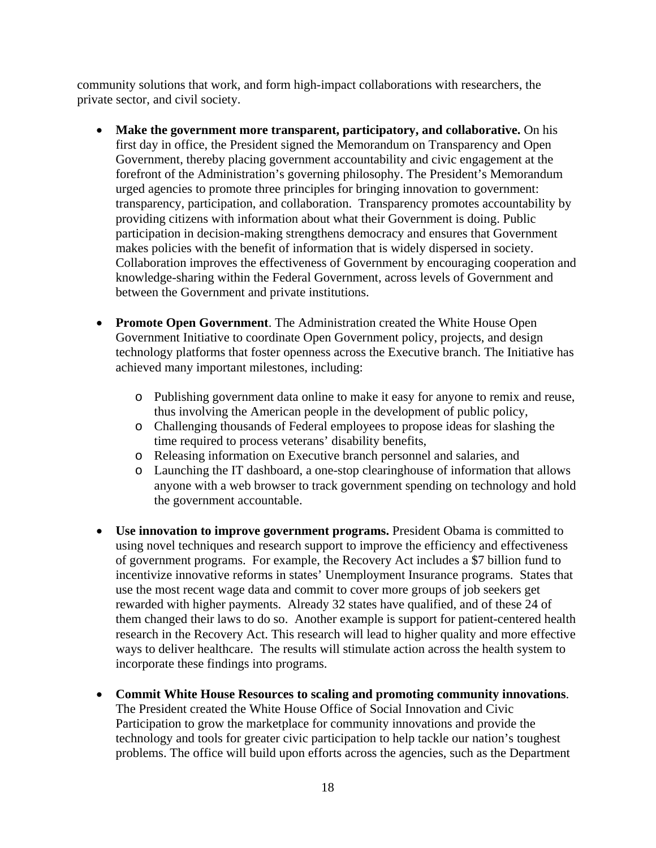community solutions that work, and form high-impact collaborations with researchers, the private sector, and civil society.

- between the Government and private institutions. **Make the government more transparent, participatory, and collaborative.** On his first day in office, the President signed the Memorandum on Transparency and Open Government, thereby placing government accountability and civic engagement at the forefront of the Administration's governing philosophy. The President's Memorandum urged agencies to promote three principles for bringing innovation to government: transparency, participation, and collaboration. Transparency promotes accountability by providing citizens with information about what their Government is doing. Public participation in decision-making strengthens democracy and ensures that Government makes policies with the benefit of information that is widely dispersed in society. Collaboration improves the effectiveness of Government by encouraging cooperation and knowledge-sharing within the Federal Government, across levels of Government and
- **Promote Open Government**. The Administration created the White House Open Government Initiative to coordinate Open Government policy, projects, and design technology platforms that foster openness across the Executive branch. The Initiative has achieved many important milestones, including:
	- o Publishing government data online to make it easy for anyone to remix and reuse, thus involving the American people in the development of public policy,
	- Challenging thousands of Federal employees to propose ideas for slashing the o time required to process veterans' disability benefits,
	- Releasing information on Executive branch personnel and salaries, and o
	- Launching the IT dashboard, a one-stop clearinghouse of information that allows o anyone with a web browser to track government spending on technology and hold the government accountable.
- **Use innovation to improve government programs.** President Obama is committed to using novel techniques and research support to improve the efficiency and effectiveness of government programs. For example, the Recovery Act includes a \$7 billion fund to incentivize innovative reforms in states' Unemployment Insurance programs. States that use the most recent wage data and commit to cover more groups of job seekers get rewarded with higher payments. Already 32 states have qualified, and of these 24 of them changed their laws to do so. Another example is support for patient-centered health research in the Recovery Act. This research will lead to higher quality and more effective ways to deliver healthcare. The results will stimulate action across the health system to incorporate these findings into programs.
- **Commit White House Resources to scaling and promoting community innovations**. The President created the White House Office of Social Innovation and Civic Participation to grow the marketplace for community innovations and provide the technology and tools for greater civic participation to help tackle our nation's toughest problems. The office will build upon efforts across the agencies, such as the Department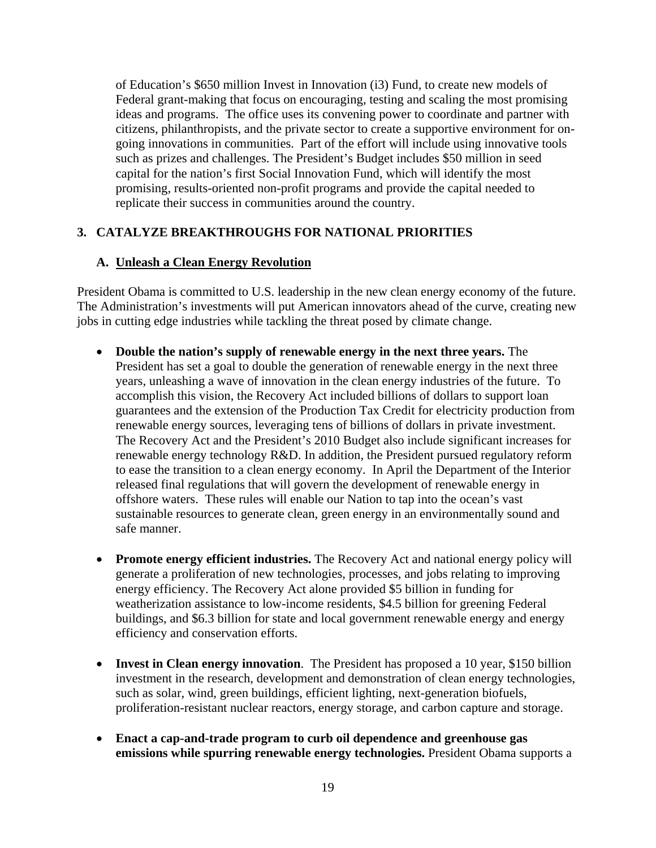of Education's \$650 million Invest in Innovation (i3) Fund, to create new models of Federal grant-making that focus on encouraging, testing and scaling the most promising ideas and programs. The office uses its convening power to coordinate and partner with citizens, philanthropists, and the private sector to create a supportive environment for ongoing innovations in communities. Part of the effort will include using innovative tools such as prizes and challenges. The President's Budget includes \$50 million in seed capital for the nation's first Social Innovation Fund, which will identify the most promising, results-oriented non-profit programs and provide the capital needed to replicate their success in communities around the country.

### **3. CATALYZE BREAKTHROUGHS FOR NATIONAL PRIORITIES**

### **A. Unleash a Clean Energy Revolution**

President Obama is committed to U.S. leadership in the new clean energy economy of the future. The Administration's investments will put American innovators ahead of the curve, creating new jobs in cutting edge industries while tackling the threat posed by climate change.

- **Double the nation's supply of renewable energy in the next three years.** The President has set a goal to double the generation of renewable energy in the next three years, unleashing a wave of innovation in the clean energy industries of the future. To accomplish this vision, the Recovery Act included billions of dollars to support loan guarantees and the extension of the Production Tax Credit for electricity production from renewable energy sources, leveraging tens of billions of dollars in private investment. The Recovery Act and the President's 2010 Budget also include significant increases for renewable energy technology R&D. In addition, the President pursued regulatory reform to ease the transition to a clean energy economy. In April the Department of the Interior released final regulations that will govern the development of renewable energy in offshore waters. These rules will enable our Nation to tap into the ocean's vast sustainable resources to generate clean, green energy in an environmentally sound and safe manner.
- **Promote energy efficient industries.** The Recovery Act and national energy policy will generate a proliferation of new technologies, processes, and jobs relating to improving energy efficiency. The Recovery Act alone provided \$5 billion in funding for weatherization assistance to low-income residents, \$4.5 billion for greening Federal buildings, and \$6.3 billion for state and local government renewable energy and energy efficiency and conservation efforts.
- **Invest in Clean energy innovation**. The President has proposed a 10 year, \$150 billion investment in the research, development and demonstration of clean energy technologies, such as solar, wind, green buildings, efficient lighting, next-generation biofuels, proliferation-resistant nuclear reactors, energy storage, and carbon capture and storage.
- **Enact a cap-and-trade program to curb oil dependence and greenhouse gas emissions while spurring renewable energy technologies.** President Obama supports a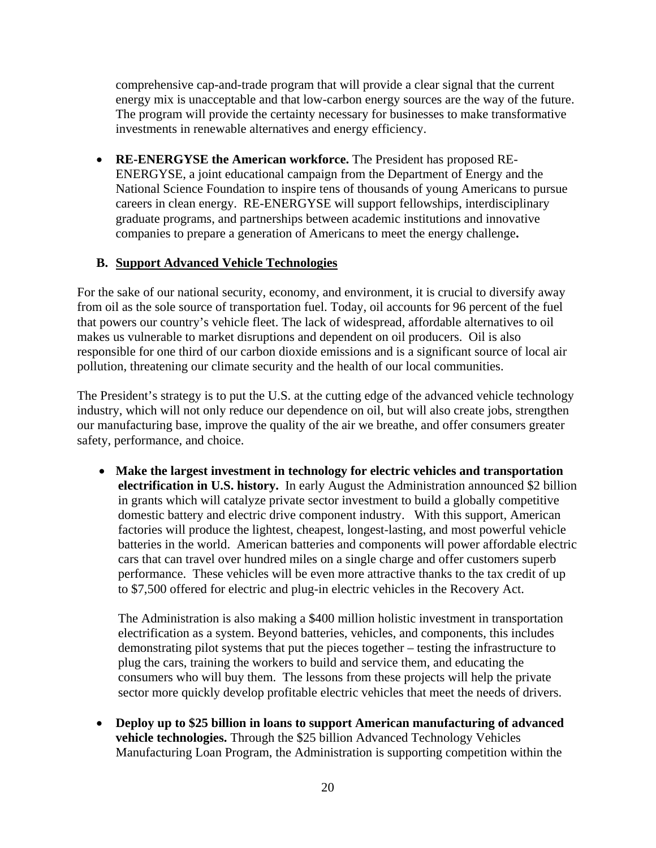comprehensive cap-and-trade program that will provide a clear signal that the current energy mix is unacceptable and that low-carbon energy sources are the way of the future. The program will provide the certainty necessary for businesses to make transformative investments in renewable alternatives and energy efficiency.

 **RE-ENERGYSE the American workforce.** The President has proposed RE-ENERGYSE, a joint educational campaign from the Department of Energy and the National Science Foundation to inspire tens of thousands of young Americans to pursue careers in clean energy. RE-ENERGYSE will support fellowships, interdisciplinary graduate programs, and partnerships between academic institutions and innovative companies to prepare a generation of Americans to meet the energy challenge**.** 

### **B. Support Advanced Vehicle Technologies**

For the sake of our national security, economy, and environment, it is crucial to diversify away from oil as the sole source of transportation fuel. Today, oil accounts for 96 percent of the fuel that powers our country's vehicle fleet. The lack of widespread, affordable alternatives to oil makes us vulnerable to market disruptions and dependent on oil producers. Oil is also responsible for one third of our carbon dioxide emissions and is a significant source of local air pollution, threatening our climate security and the health of our local communities.

The President's strategy is to put the U.S. at the cutting edge of the advanced vehicle technology industry, which will not only reduce our dependence on oil, but will also create jobs, strengthen our manufacturing base, improve the quality of the air we breathe, and offer consumers greater safety, performance, and choice.

 **Make the largest investment in technology for electric vehicles and transportation electrification in U.S. history.** In early August the Administration announced \$2 billion in grants which will catalyze private sector investment to build a globally competitive domestic battery and electric drive component industry. With this support, American factories will produce the lightest, cheapest, longest-lasting, and most powerful vehicle batteries in the world. American batteries and components will power affordable electric cars that can travel over hundred miles on a single charge and offer customers superb performance. These vehicles will be even more attractive thanks to the tax credit of up to \$7,500 offered for electric and plug-in electric vehicles in the Recovery Act.

The Administration is also making a \$400 million holistic investment in transportation electrification as a system. Beyond batteries, vehicles, and components, this includes demonstrating pilot systems that put the pieces together – testing the infrastructure to plug the cars, training the workers to build and service them, and educating the consumers who will buy them. The lessons from these projects will help the private sector more quickly develop profitable electric vehicles that meet the needs of drivers.

 **Deploy up to \$25 billion in loans to support American manufacturing of advanced vehicle technologies.** Through the \$25 billion Advanced Technology Vehicles Manufacturing Loan Program, the Administration is supporting competition within the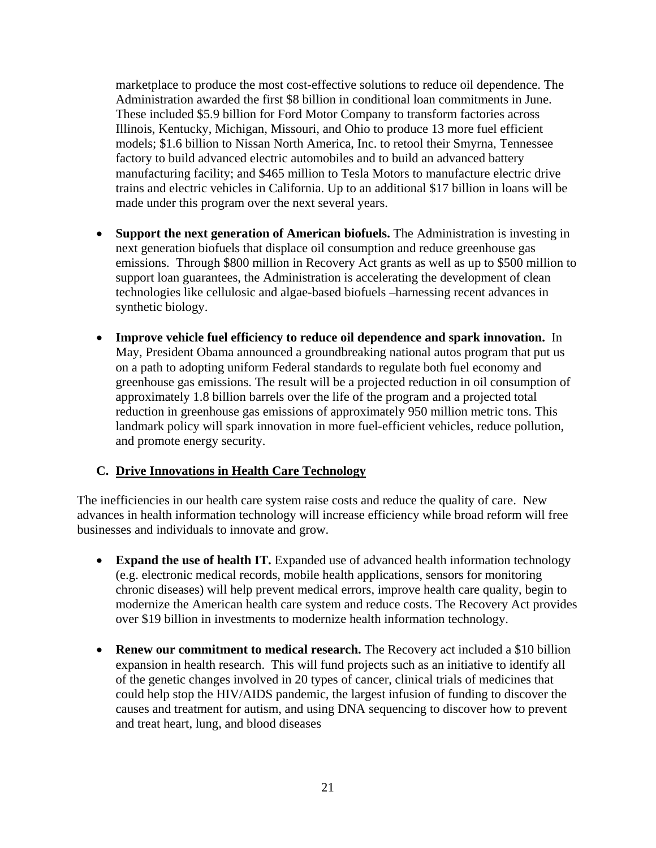marketplace to produce the most cost-effective solutions to reduce oil dependence. The Administration awarded the first \$8 billion in conditional loan commitments in June. These included \$5.9 billion for Ford Motor Company to transform factories across Illinois, Kentucky, Michigan, Missouri, and Ohio to produce 13 more fuel efficient models; \$1.6 billion to Nissan North America, Inc. to retool their Smyrna, Tennessee factory to build advanced electric automobiles and to build an advanced battery manufacturing facility; and \$465 million to Tesla Motors to manufacture electric drive trains and electric vehicles in California. Up to an additional \$17 billion in loans will be made under this program over the next several years.

- **Support the next generation of American biofuels.** The Administration is investing in next generation biofuels that displace oil consumption and reduce greenhouse gas emissions. Through \$800 million in Recovery Act grants as well as up to \$500 million to support loan guarantees, the Administration is accelerating the development of clean technologies like cellulosic and algae-based biofuels –harnessing recent advances in synthetic biology.
- **Improve vehicle fuel efficiency to reduce oil dependence and spark innovation.** In May, President Obama announced a groundbreaking national autos program that put us on a path to adopting uniform Federal standards to regulate both fuel economy and greenhouse gas emissions. The result will be a projected reduction in oil consumption of approximately 1.8 billion barrels over the life of the program and a projected total reduction in greenhouse gas emissions of approximately 950 million metric tons. This landmark policy will spark innovation in more fuel-efficient vehicles, reduce pollution, and promote energy security.

### **C. Drive Innovations in Health Care Technology**

The inefficiencies in our health care system raise costs and reduce the quality of care. New advances in health information technology will increase efficiency while broad reform will free businesses and individuals to innovate and grow.

- **Expand the use of health IT.** Expanded use of advanced health information technology (e.g. electronic medical records, mobile health applications, sensors for monitoring chronic diseases) will help prevent medical errors, improve health care quality, begin to modernize the American health care system and reduce costs. The Recovery Act provides over \$19 billion in investments to modernize health information technology.
- **Renew our commitment to medical research.** The Recovery act included a \$10 billion expansion in health research. This will fund projects such as an initiative to identify all of the genetic changes involved in 20 types of cancer, clinical trials of medicines that could help stop the HIV/AIDS pandemic, the largest infusion of funding to discover the causes and treatment for autism, and using DNA sequencing to discover how to prevent and treat heart, lung, and blood diseases